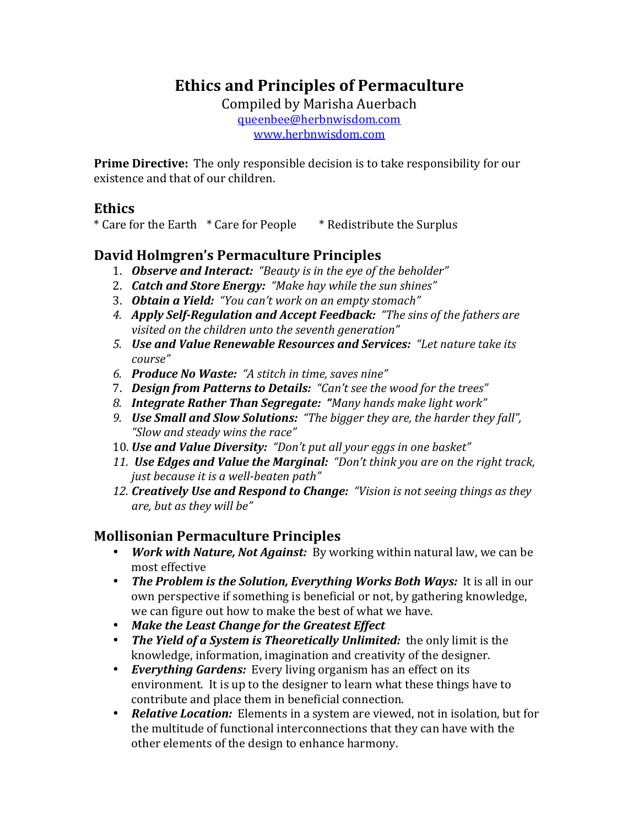# **Ethics and Principles of Permaculture**

Compiled by Marisha Auerbach queenbee@herbnwisdom.com www.herbnwisdom.com

**Prime Directive:** The only responsible decision is to take responsibility for our existence and that of our children.

### **Ethics**

\* Care for the Earth \* Care for People \* Redistribute the Surplus

## **David'Holmgren's'Permaculture'Principles**

- 1. **Observe and Interact:** "Beauty is in the eye of the beholder"
- 2. **Catch and Store Energy:** "Make hay while the sun shines"
- 3. *Obtain'a'Yield:*))*"You(can't(work(on(an(empty(stomach"*
- 4. *Apply Self-Regulation and Accept Feedback: "The sins of the fathers are visited on the children unto the seventh generation"*
- 5. **Use and Value Renewable Resources and Services:** "Let nature take its *course"*
- 6. **Produce No Waste:** "A stitch in time, saves nine"
- 7. **Design from Patterns to Details:** "Can't see the wood for the trees"
- 8. **Integrate Rather Than Segregate: "**Many hands make light work"
- 9. *Use Small and Slow Solutions:* "The bigger they are, the harder they fall", *"Slow and steady wins the race"*
- 10. **Use and Value Diversity:** "Don't put all your eggs in one basket"
- 11. **Use Edges and Value the Marginal:** "Don't think you are on the right track, *just because it is a well-beaten path"*
- 12. *Creatively Use and Respond to Change: "Vision is not seeing things as they are, but as they will be"*

## **Mollisonian'Permaculture'Principles**

- *Work with Nature, Not Against:* By working within natural law, we can be most effective
- *The Problem is the Solution, Everything Works Both Ways:* It is all in our own perspective if something is beneficial or not, by gathering knowledge, we can figure out how to make the best of what we have.
- *Make'the'Least'Change'for'the'Greatest'Effect*
- *The Yield of a System is Theoretically Unlimited:* the only limit is the knowledge, information, imagination and creativity of the designer.
- *Everything Gardens:* Every living organism has an effect on its environment. It is up to the designer to learn what these things have to contribute and place them in beneficial connection.
- **Relative Location:** Elements in a system are viewed, not in isolation, but for the multitude of functional interconnections that they can have with the other elements of the design to enhance harmony.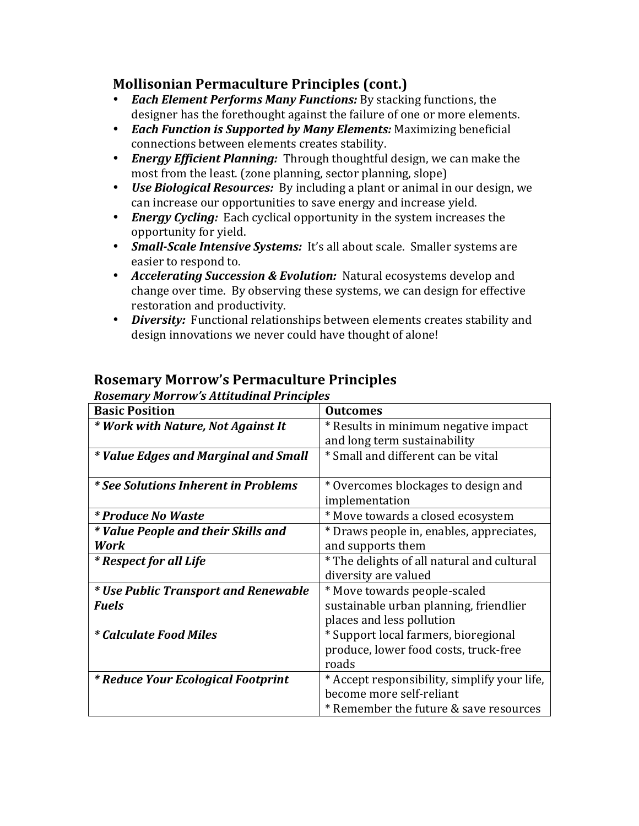# **Mollisonian'Permaculture'Principles'(cont.)**

- *Each Element Performs Many Functions:* By stacking functions, the designer has the forethought against the failure of one or more elements.
- *Each Function is Supported by Many Elements:* Maximizing beneficial connections between elements creates stability.
- *Energy Efficient Planning:* Through thoughtful design, we can make the most from the least. (zone planning, sector planning, slope)
- *Use Biological Resources:* By including a plant or animal in our design, we can increase our opportunities to save energy and increase yield.
- *Energy Cycling:* Each cyclical opportunity in the system increases the opportunity for yield.
- *Small-Scale Intensive Systems:* It's all about scale. Smaller systems are easier to respond to.
- *Accelerating Succession & Evolution:* Natural ecosystems develop and change over time. By observing these systems, we can design for effective restoration and productivity.
- *Diversity:* Functional relationships between elements creates stability and design innovations we never could have thought of alone!

| <b>Basic Position</b>                       | <b>Outcomes</b>                              |
|---------------------------------------------|----------------------------------------------|
| * Work with Nature, Not Against It          | * Results in minimum negative impact         |
|                                             | and long term sustainability                 |
| * Value Edges and Marginal and Small        | * Small and different can be vital           |
|                                             |                                              |
| <i>* See Solutions Inherent in Problems</i> | * Overcomes blockages to design and          |
|                                             | implementation                               |
| <i>* Produce No Waste</i>                   | * Move towards a closed ecosystem            |
| * Value People and their Skills and         | * Draws people in, enables, appreciates,     |
| Work                                        | and supports them                            |
| <i>* Respect for all Life</i>               | * The delights of all natural and cultural   |
|                                             | diversity are valued                         |
| * Use Public Transport and Renewable        | * Move towards people-scaled                 |
| <b>Fuels</b>                                | sustainable urban planning, friendlier       |
|                                             | places and less pollution                    |
| <i>* Calculate Food Miles</i>               | * Support local farmers, bioregional         |
|                                             | produce, lower food costs, truck-free        |
|                                             | roads                                        |
| * Reduce Your Ecological Footprint          | * Accept responsibility, simplify your life, |
|                                             | become more self-reliant                     |
|                                             | * Remember the future & save resources       |

# **Rosemary'Morrow's'Permaculture'Principles**

*Rosemary'Morrow's'Attitudinal'Principles*